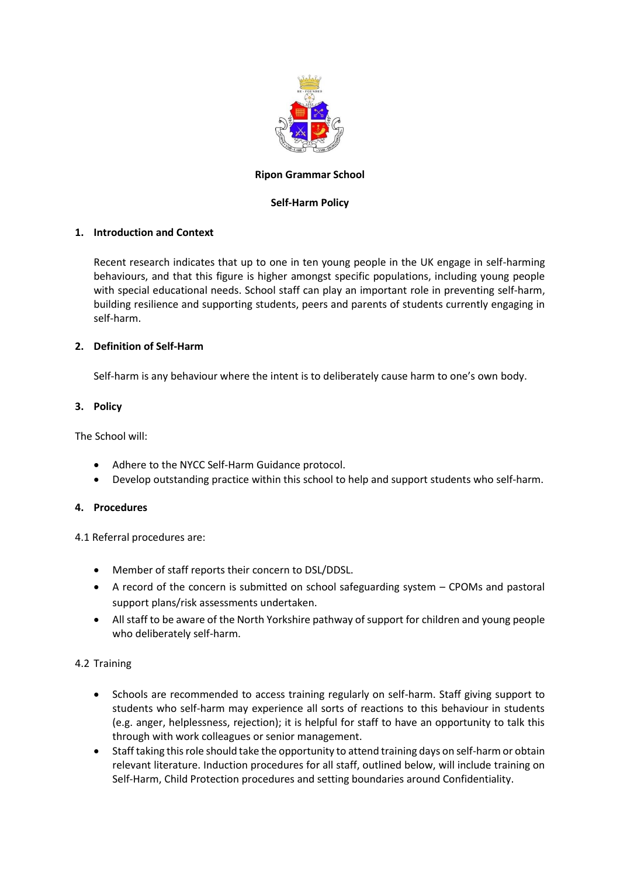

## **Ripon Grammar School**

### **Self-Harm Policy**

## **1. Introduction and Context**

Recent research indicates that up to one in ten young people in the UK engage in self-harming behaviours, and that this figure is higher amongst specific populations, including young people with special educational needs. School staff can play an important role in preventing self-harm, building resilience and supporting students, peers and parents of students currently engaging in self-harm.

## **2. Definition of Self-Harm**

Self-harm is any behaviour where the intent is to deliberately cause harm to one's own body.

### **3. Policy**

The School will:

- Adhere to the NYCC Self-Harm Guidance protocol.
- Develop outstanding practice within this school to help and support students who self-harm.

### **4. Procedures**

4.1 Referral procedures are:

- Member of staff reports their concern to DSL/DDSL.
- A record of the concern is submitted on school safeguarding system CPOMs and pastoral support plans/risk assessments undertaken.
- All staff to be aware of the North Yorkshire pathway of support for children and young people who deliberately self-harm.

# 4.2 Training

- Schools are recommended to access training regularly on self-harm. Staff giving support to students who self-harm may experience all sorts of reactions to this behaviour in students (e.g. anger, helplessness, rejection); it is helpful for staff to have an opportunity to talk this through with work colleagues or senior management.
- Staff taking this role should take the opportunity to attend training days on self-harm or obtain relevant literature. Induction procedures for all staff, outlined below, will include training on Self-Harm, Child Protection procedures and setting boundaries around Confidentiality.